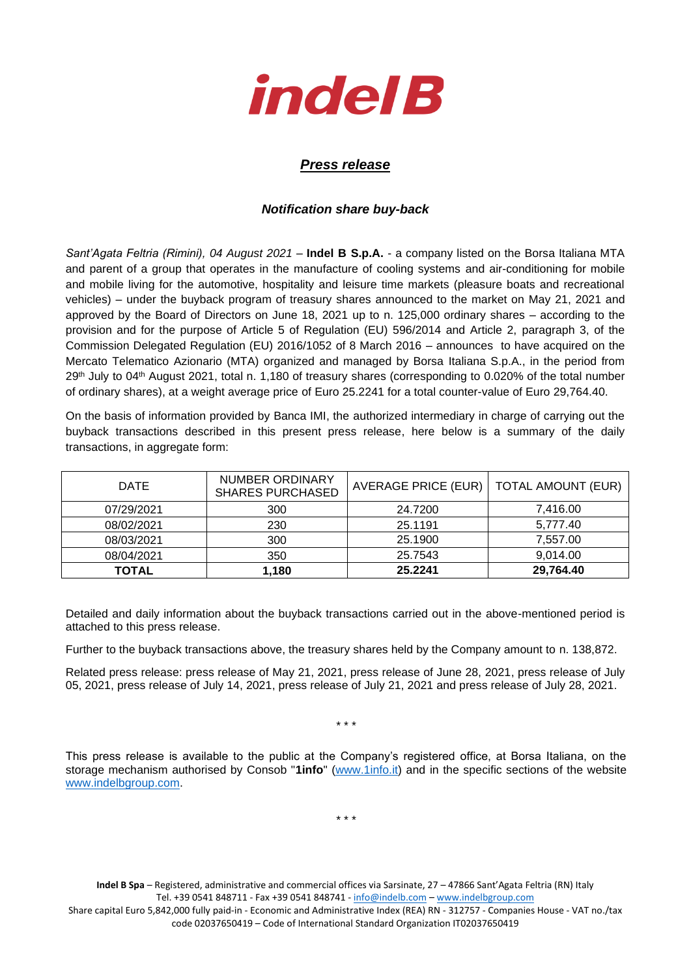

## *Press release*

## *Notification share buy-back*

*Sant'Agata Feltria (Rimini), 04 August 2021* – **Indel B S.p.A.** - a company listed on the Borsa Italiana MTA and parent of a group that operates in the manufacture of cooling systems and air-conditioning for mobile and mobile living for the automotive, hospitality and leisure time markets (pleasure boats and recreational vehicles) – under the buyback program of treasury shares announced to the market on May 21, 2021 and approved by the Board of Directors on June 18, 2021 up to n. 125,000 ordinary shares – according to the provision and for the purpose of Article 5 of Regulation (EU) 596/2014 and Article 2, paragraph 3, of the Commission Delegated Regulation (EU) 2016/1052 of 8 March 2016 – announces to have acquired on the Mercato Telematico Azionario (MTA) organized and managed by Borsa Italiana S.p.A., in the period from 29<sup>th</sup> July to 04<sup>th</sup> August 2021, total n. 1,180 of treasury shares (corresponding to 0.020% of the total number of ordinary shares), at a weight average price of Euro 25.2241 for a total counter-value of Euro 29,764.40.

On the basis of information provided by Banca IMI, the authorized intermediary in charge of carrying out the buyback transactions described in this present press release, here below is a summary of the daily transactions, in aggregate form:

| DATE       | NUMBER ORDINARY<br><b>SHARES PURCHASED</b> | AVERAGE PRICE (EUR) | TOTAL AMOUNT (EUR) |
|------------|--------------------------------------------|---------------------|--------------------|
| 07/29/2021 | 300                                        | 24.7200             | 7.416.00           |
| 08/02/2021 | 230                                        | 25.1191             | 5,777.40           |
| 08/03/2021 | 300                                        | 25.1900             | 7,557.00           |
| 08/04/2021 | 350                                        | 25.7543             | 9.014.00           |
| TOTAL      | 1.180                                      | 25.2241             | 29,764.40          |

Detailed and daily information about the buyback transactions carried out in the above-mentioned period is attached to this press release.

Further to the buyback transactions above, the treasury shares held by the Company amount to n. 138,872.

Related press release: press release of May 21, 2021, press release of June 28, 2021, press release of July 05, 2021, press release of July 14, 2021, press release of July 21, 2021 and press release of July 28, 2021.

\* \* \*

This press release is available to the public at the Company's registered office, at Borsa Italiana, on the storage mechanism authorised by Consob "**1info**" [\(www.1info.it\)](file:///C:/Users/ddelietovollaro/AppData/Local/Microsoft/Windows/INetCache/Content.Outlook/T87B94UR/www.1info.it) and in the specific sections of the website [www.indelbgroup.com.](http://www.indelbgroup.com/)

\* \* \*

**Indel B Spa** – Registered, administrative and commercial offices via Sarsinate, 27 – 47866 Sant'Agata Feltria (RN) Italy Tel. +39 0541 848711 - Fax +39 0541 848741 - [info@indelb.com](mailto:info@indelb.com) – [www.indelbgroup.com](http://www.indelbgroup.com/) Share capital Euro 5,842,000 fully paid-in - Economic and Administrative Index (REA) RN - 312757 - Companies House - VAT no./tax code 02037650419 – Code of International Standard Organization IT02037650419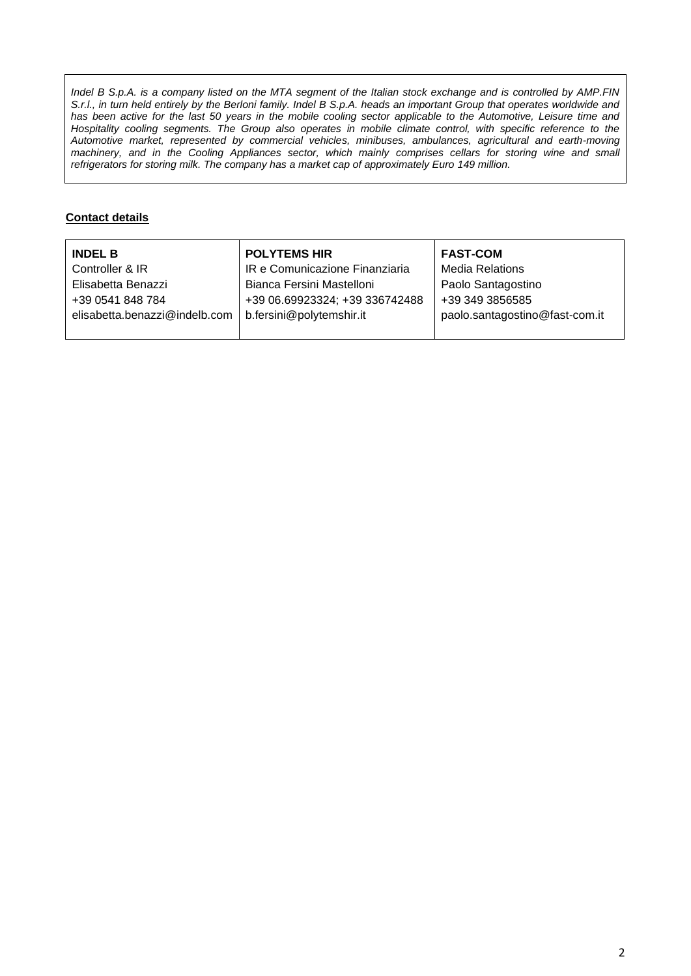*Indel B S.p.A. is a company listed on the MTA segment of the Italian stock exchange and is controlled by AMP.FIN S.r.l., in turn held entirely by the Berloni family. Indel B S.p.A. heads an important Group that operates worldwide and* has been active for the last 50 years in the mobile cooling sector applicable to the Automotive, Leisure time and Hospitality cooling segments. The Group also operates in mobile climate control, with specific reference to the *Automotive market, represented by commercial vehicles, minibuses, ambulances, agricultural and earth-moving machinery, and in the Cooling Appliances sector, which mainly comprises cellars for storing wine and small refrigerators for storing milk. The company has a market cap of approximately Euro 149 million.*

## **Contact details**

| <b>INDEL B</b>                | <b>POLYTEMS HIR</b>            | <b>FAST-COM</b>                |
|-------------------------------|--------------------------------|--------------------------------|
| Controller & IR               | IR e Comunicazione Finanziaria | <b>Media Relations</b>         |
| Elisabetta Benazzi            | Bianca Fersini Mastelloni      | Paolo Santagostino             |
| +39 0541 848 784              | +39 06.69923324; +39 336742488 | +39 349 3856585                |
| elisabetta.benazzi@indelb.com | b.fersini@polytemshir.it       | paolo.santagostino@fast-com.it |
|                               |                                |                                |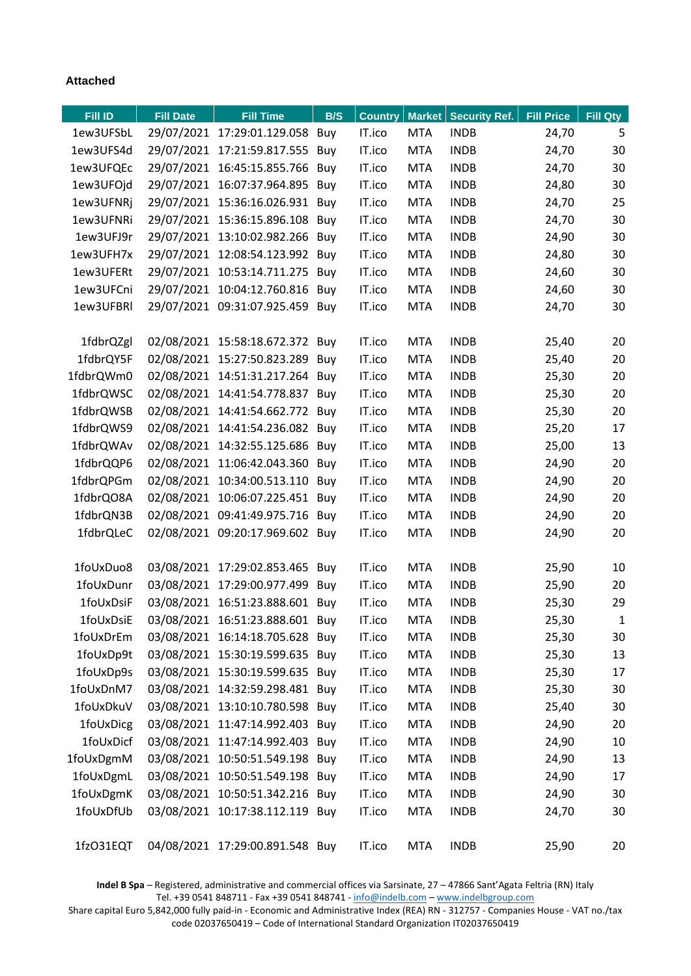## **Attached**

| Fill ID   | <b>Fill Date</b> | <b>Fill Time</b>                | B/S | <b>Country</b> |            | Market   Security Ref. | <b>Fill Price</b> | <b>Fill Qty</b> |
|-----------|------------------|---------------------------------|-----|----------------|------------|------------------------|-------------------|-----------------|
| 1ew3UFSbL |                  | 29/07/2021 17:29:01.129.058 Buy |     | IT.ico         | <b>MTA</b> | <b>INDB</b>            | 24,70             | 5               |
| 1ew3UFS4d |                  | 29/07/2021 17:21:59.817.555 Buy |     | IT.ico         | <b>MTA</b> | <b>INDB</b>            | 24,70             | 30              |
| 1ew3UFQEc |                  | 29/07/2021 16:45:15.855.766 Buy |     | IT.ico         | <b>MTA</b> | <b>INDB</b>            | 24,70             | 30              |
| 1ew3UFOjd |                  | 29/07/2021 16:07:37.964.895     | Buy | IT.ico         | <b>MTA</b> | <b>INDB</b>            | 24,80             | 30              |
| 1ew3UFNRj |                  | 29/07/2021 15:36:16.026.931 Buy |     | IT.ico         | <b>MTA</b> | <b>INDB</b>            | 24,70             | 25              |
| 1ew3UFNRi |                  | 29/07/2021 15:36:15.896.108 Buy |     | IT.ico         | <b>MTA</b> | <b>INDB</b>            | 24,70             | 30              |
| 1ew3UFJ9r |                  | 29/07/2021 13:10:02.982.266 Buy |     | IT.ico         | <b>MTA</b> | <b>INDB</b>            | 24,90             | 30              |
| 1ew3UFH7x |                  | 29/07/2021 12:08:54.123.992 Buy |     | IT.ico         | <b>MTA</b> | <b>INDB</b>            | 24,80             | 30              |
| 1ew3UFERt |                  | 29/07/2021 10:53:14.711.275 Buy |     | IT.ico         | <b>MTA</b> | <b>INDB</b>            | 24,60             | 30              |
| 1ew3UFCni |                  | 29/07/2021 10:04:12.760.816 Buy |     | IT.ico         | <b>MTA</b> | <b>INDB</b>            | 24,60             | 30              |
| 1ew3UFBRI |                  | 29/07/2021 09:31:07.925.459 Buy |     | IT.ico         | <b>MTA</b> | <b>INDB</b>            | 24,70             | 30              |
|           |                  |                                 |     |                |            |                        |                   |                 |
| 1fdbrQZgl |                  | 02/08/2021 15:58:18.672.372 Buy |     | IT.ico         | <b>MTA</b> | <b>INDB</b>            | 25,40             | 20              |
| 1fdbrQY5F |                  | 02/08/2021 15:27:50.823.289 Buy |     | IT.ico         | <b>MTA</b> | <b>INDB</b>            | 25,40             | 20              |
| 1fdbrQWm0 |                  | 02/08/2021 14:51:31.217.264 Buy |     | IT.ico         | <b>MTA</b> | <b>INDB</b>            | 25,30             | 20              |
| 1fdbrQWSC |                  | 02/08/2021 14:41:54.778.837 Buy |     | IT.ico         | <b>MTA</b> | <b>INDB</b>            | 25,30             | 20              |
| 1fdbrQWSB |                  | 02/08/2021 14:41:54.662.772 Buy |     | IT.ico         | <b>MTA</b> | <b>INDB</b>            | 25,30             | 20              |
| 1fdbrQWS9 |                  | 02/08/2021 14:41:54.236.082 Buy |     | IT.ico         | <b>MTA</b> | <b>INDB</b>            | 25,20             | 17              |
| 1fdbrQWAv |                  | 02/08/2021 14:32:55.125.686 Buy |     | IT.ico         | <b>MTA</b> | <b>INDB</b>            | 25,00             | 13              |
| 1fdbrQQP6 |                  | 02/08/2021 11:06:42.043.360 Buy |     | IT.ico         | <b>MTA</b> | <b>INDB</b>            | 24,90             | 20              |
| 1fdbrQPGm |                  | 02/08/2021 10:34:00.513.110 Buy |     | IT.ico         | <b>MTA</b> | <b>INDB</b>            | 24,90             | 20              |
| 1fdbrQO8A |                  | 02/08/2021 10:06:07.225.451 Buy |     | IT.ico         | <b>MTA</b> | <b>INDB</b>            | 24,90             | 20              |
| 1fdbrQN3B |                  | 02/08/2021 09:41:49.975.716 Buy |     | IT.ico         | <b>MTA</b> | <b>INDB</b>            | 24,90             | 20              |
| 1fdbrQLeC |                  | 02/08/2021 09:20:17.969.602 Buy |     | IT.ico         | <b>MTA</b> | <b>INDB</b>            | 24,90             | 20              |
|           |                  |                                 |     |                |            |                        |                   |                 |
| 1foUxDuo8 |                  | 03/08/2021 17:29:02.853.465 Buy |     | IT.ico         | <b>MTA</b> | <b>INDB</b>            | 25,90             | 10              |
| 1foUxDunr |                  | 03/08/2021 17:29:00.977.499 Buy |     | IT.ico         | <b>MTA</b> | <b>INDB</b>            | 25,90             | 20              |
| 1foUxDsiF |                  | 03/08/2021 16:51:23.888.601 Buy |     | IT.ico         | <b>MTA</b> | <b>INDB</b>            | 25,30             | 29              |
| 1foUxDsiE |                  | 03/08/2021 16:51:23.888.601 Buy |     | IT.ico         | <b>MTA</b> | <b>INDB</b>            | 25,30             | $\mathbf{1}$    |
| 1foUxDrEm |                  | 03/08/2021 16:14:18.705.628 Buy |     | IT.ico         | <b>MTA</b> | <b>INDB</b>            | 25,30             | 30              |
| 1foUxDp9t |                  | 03/08/2021 15:30:19.599.635 Buy |     | IT.ico         | <b>MTA</b> | <b>INDB</b>            | 25,30             | 13              |
| 1foUxDp9s |                  | 03/08/2021 15:30:19.599.635 Buy |     | IT.ico         | <b>MTA</b> | <b>INDB</b>            | 25,30             | 17              |
| 1foUxDnM7 |                  | 03/08/2021 14:32:59.298.481 Buy |     | IT.ico         | <b>MTA</b> | <b>INDB</b>            | 25,30             | 30              |
| 1foUxDkuV |                  | 03/08/2021 13:10:10.780.598 Buy |     | IT.ico         | <b>MTA</b> | <b>INDB</b>            | 25,40             | 30              |
| 1foUxDicg |                  | 03/08/2021 11:47:14.992.403 Buy |     | IT.ico         | <b>MTA</b> | <b>INDB</b>            | 24,90             | 20              |
| 1foUxDicf |                  | 03/08/2021 11:47:14.992.403 Buy |     | IT.ico         | <b>MTA</b> | <b>INDB</b>            | 24,90             | 10              |
| 1foUxDgmM |                  | 03/08/2021 10:50:51.549.198 Buy |     | IT.ico         | <b>MTA</b> | <b>INDB</b>            | 24,90             | 13              |
| 1foUxDgmL |                  | 03/08/2021 10:50:51.549.198 Buy |     | IT.ico         | <b>MTA</b> | <b>INDB</b>            | 24,90             | 17              |
| 1foUxDgmK |                  | 03/08/2021 10:50:51.342.216 Buy |     | IT.ico         | <b>MTA</b> | <b>INDB</b>            | 24,90             | 30              |
| 1foUxDfUb |                  | 03/08/2021 10:17:38.112.119 Buy |     | IT.ico         | <b>MTA</b> | <b>INDB</b>            | 24,70             | 30              |
| 1fzO31EQT |                  | 04/08/2021 17:29:00.891.548 Buy |     | IT.ico         | <b>MTA</b> | <b>INDB</b>            | 25,90             | 20              |

**Indel B Spa** – Registered, administrative and commercial offices via Sarsinate, 27 – 47866 Sant'Agata Feltria (RN) Italy Tel. +39 0541 848711 - Fax +39 0541 848741 - [info@indelb.com](mailto:info@indelb.com) – [www.indelbgroup.com](http://www.indelbgroup.com/)

Share capital Euro 5,842,000 fully paid-in - Economic and Administrative Index (REA) RN - 312757 - Companies House - VAT no./tax code 02037650419 – Code of International Standard Organization IT02037650419